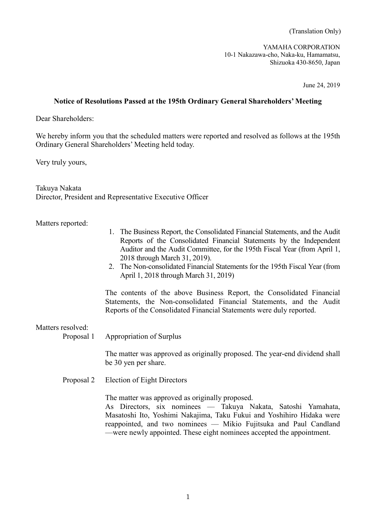(Translation Only)

YAMAHA CORPORATION 10-1 Nakazawa-cho, Naka-ku, Hamamatsu, Shizuoka 430-8650, Japan

June 24, 2019

## **Notice of Resolutions Passed at the 195th Ordinary General Shareholders' Meeting**

Dear Shareholders:

We hereby inform you that the scheduled matters were reported and resolved as follows at the 195th Ordinary General Shareholders' Meeting held today.

Very truly yours,

Takuya Nakata Director, President and Representative Executive Officer

Matters reported:

- 1. The Business Report, the Consolidated Financial Statements, and the Audit Reports of the Consolidated Financial Statements by the Independent Auditor and the Audit Committee, for the 195th Fiscal Year (from April 1, 2018 through March 31, 2019).
- 2. The Non-consolidated Financial Statements for the 195th Fiscal Year (from April 1, 2018 through March 31, 2019)

The contents of the above Business Report, the Consolidated Financial Statements, the Non-consolidated Financial Statements, and the Audit Reports of the Consolidated Financial Statements were duly reported.

## Matters resolved:

Proposal 1 Appropriation of Surplus

The matter was approved as originally proposed. The year-end dividend shall be 30 yen per share.

Proposal 2 Election of Eight Directors

The matter was approved as originally proposed.

As Directors, six nominees –– Takuya Nakata, Satoshi Yamahata, Masatoshi Ito, Yoshimi Nakajima, Taku Fukui and Yoshihiro Hidaka were reappointed, and two nominees –– Mikio Fujitsuka and Paul Candland ––were newly appointed. These eight nominees accepted the appointment.